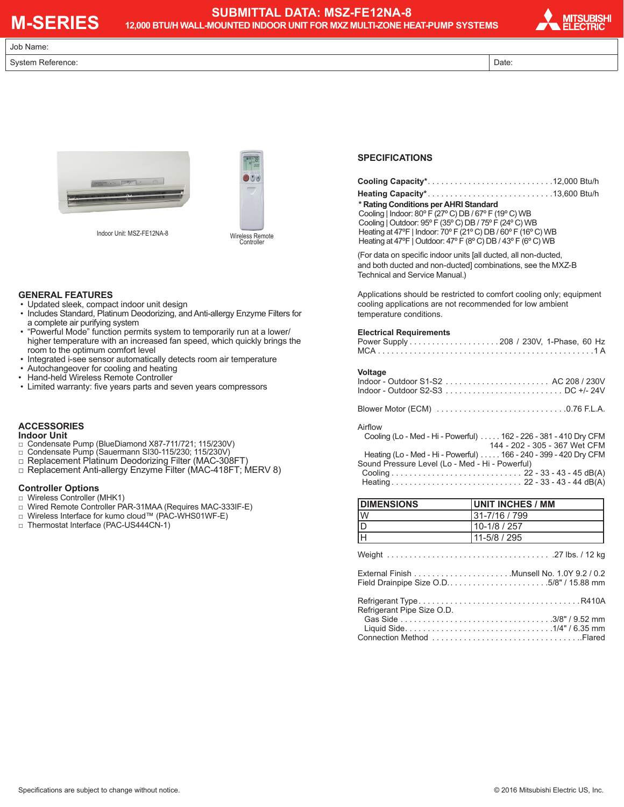# **M-SERIES**

## **SUBMITTAL DATA: MSZ-FE12NA-8 12,000 BTU/H WALL-MOUNTED INDOOR UNIT FOR MXZ MULTI-ZONE HEAT-PUMP SYSTEMS**



Job Name:

#### System Reference: Date: Date: Date: Date: Date: Date: Date: Date: Date: Date: Date: Date: Date: Date: Date: Date: Date: Date: Date: Date: Date: Date: Date: Date: Date: Date: Date: Date: Date: Date: Date: Date: Date: Date:





Indoor Unit: MSZ-FE12NA-8

Wireless Remote Controller

#### **GENERAL FEATURES**

- Updated sleek, compact indoor unit design
- Includes Standard, Platinum Deodorizing, and Anti-allergy Enzyme Filters for a complete air purifying system
- "Powerful Mode" function permits system to temporarily run at a lower/ higher temperature with an increased fan speed, which quickly brings the room to the optimum comfort level
- Integrated i-see sensor automatically detects room air temperature
- Autochangeover for cooling and heating
- Hand-held Wireless Remote Controller
- Limited warranty: five years parts and seven years compressors

## **ACCESSORIES**

#### **Indoor Unit**

- □ Condensate Pump (BlueDiamond X87-711/721; 115/230V)
- □ Condensate Pump (Sauermann SI30-115/230; 115/230V)
- □ Replacement Platinum Deodorizing Filter (MAC-308FT)
- □ Replacement Anti-allergy Enzyme Filter (MAC-418FT; MERV 8)

## **Controller Options**

- □ Wireless Controller (MHK1)
- □ Wired Remote Controller PAR-31MAA (Requires MAC-333IF-E)
- □ Wireless Interface for kumo cloud™ (PAC-WHS01WF-E)
- □ Thermostat Interface (PAC-US444CN-1)

### **SPECIFICATIONS**

| * Rating Conditions per AHRI Standard                           |
|-----------------------------------------------------------------|
| Cooling   Indoor: 80° F (27° C) DB / 67° F (19° C) WB           |
| Cooling   Outdoor: 95° F (35° C) DB / 75° F (24° C) WB          |
| Heating at 47°F   Indoor: 70°F (21°C) DB / 60°F (16°C) WB       |
| Heating at 47°F   Outdoor: 47°F (8°C) DB / 43°F (6°C) WB        |
| (For data on specific indoor units [all ducted, all non-ducted, |

and both ducted and non-ducted] combinations, see the MXZ-B Technical and Service Manual.)

Applications should be restricted to comfort cooling only; equipment cooling applications are not recommended for low ambient temperature conditions.

#### **Electrical Requirements**

| Voltage                                                           |  |  |
|-------------------------------------------------------------------|--|--|
|                                                                   |  |  |
|                                                                   |  |  |
|                                                                   |  |  |
| Airflow                                                           |  |  |
| Cooling (Lo - Med - Hi - Powerful)  162 - 226 - 381 - 410 Dry CFM |  |  |
| 144 - 202 - 305 - 367 Wet CFM                                     |  |  |
| Heating (Lo - Med - Hi - Powerful) 166 - 240 - 399 - 420 Dry CFM  |  |  |
| Sound Pressure Level (Lo - Med - Hi - Powerful)                   |  |  |
|                                                                   |  |  |
|                                                                   |  |  |
|                                                                   |  |  |

| <b>DIMENSIONS</b>          | UNIT INCHES / MM |  |
|----------------------------|------------------|--|
| W                          | 31-7/16 / 799    |  |
| $\frac{D}{H}$              | 10-1/8 / 257     |  |
|                            | 11-5/8 / 295     |  |
|                            |                  |  |
|                            |                  |  |
| Refrigerant Pipe Size O.D. |                  |  |
|                            |                  |  |
|                            |                  |  |
|                            |                  |  |